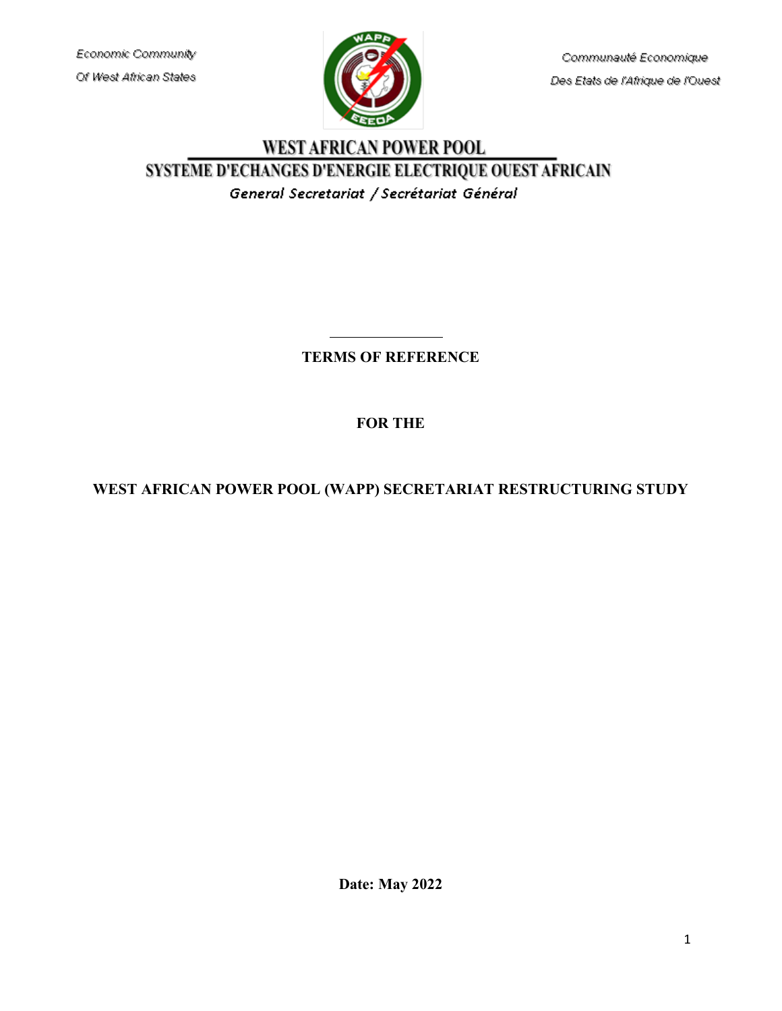Economic Community Of West African States



Communauté Economique Des Etats de l'Afrique de l'Ouest

# WEST AFRICAN POWER POOL SYSTEME D'ECHANGES D'ENERGIE ELECTRIQUE OUEST AFRICAIN General Secretariat / Secrétariat Général

# **TERMS OF REFERENCE**

# **FOR THE**

# **WEST AFRICAN POWER POOL (WAPP) SECRETARIAT RESTRUCTURING STUDY**

**Date: May 2022**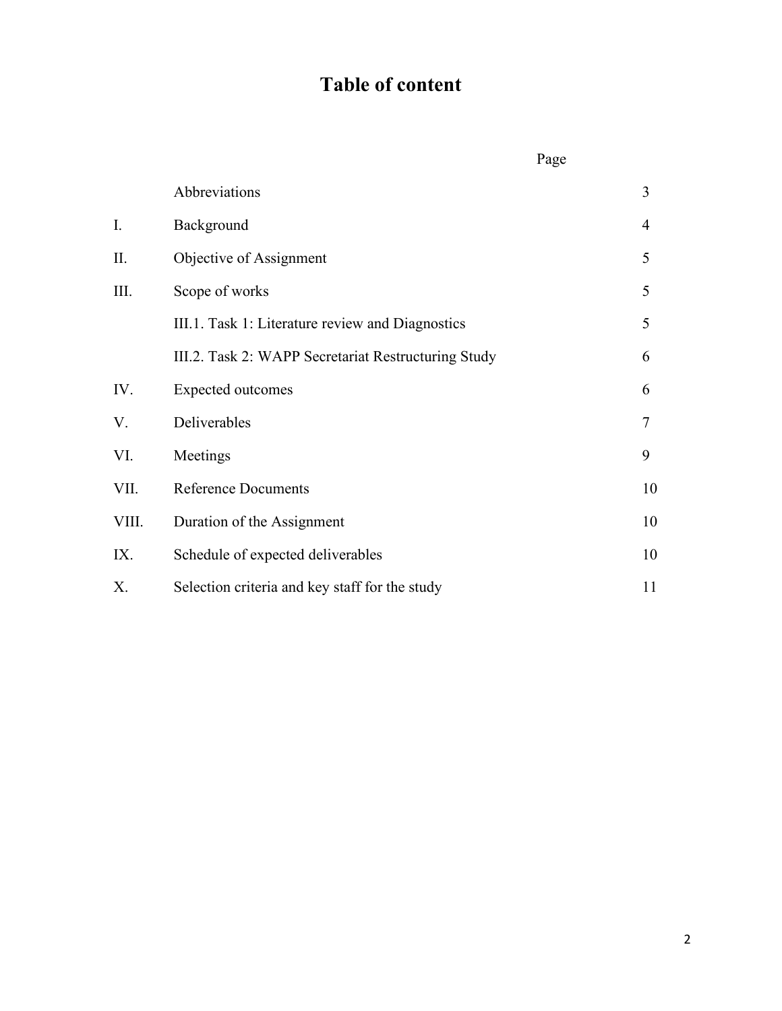# **Table of content**

|       |                                                     | Page |        |
|-------|-----------------------------------------------------|------|--------|
|       | Abbreviations                                       |      | 3      |
| I.    | Background                                          |      | 4      |
| П.    | Objective of Assignment                             |      | 5      |
| Ш.    | Scope of works                                      |      | 5      |
|       | III.1. Task 1: Literature review and Diagnostics    |      | 5      |
|       | III.2. Task 2: WAPP Secretariat Restructuring Study |      | 6      |
| IV.   | <b>Expected outcomes</b>                            |      | 6      |
| V.    | Deliverables                                        |      | $\tau$ |
| VI.   | Meetings                                            |      | 9      |
| VII.  | <b>Reference Documents</b>                          |      | 10     |
| VIII. | Duration of the Assignment                          |      | 10     |
| IX.   | Schedule of expected deliverables                   |      | 10     |
| Х.    | Selection criteria and key staff for the study      |      | 11     |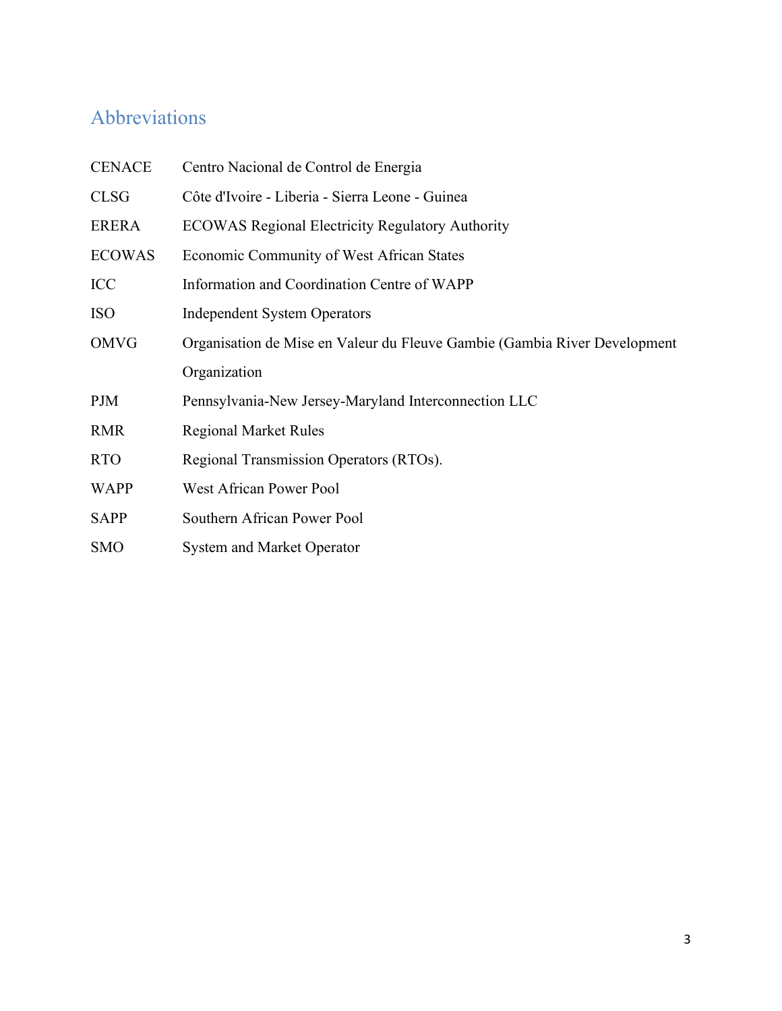# Abbreviations

| <b>CENACE</b> | Centro Nacional de Control de Energia                                     |  |
|---------------|---------------------------------------------------------------------------|--|
| <b>CLSG</b>   | Côte d'Ivoire - Liberia - Sierra Leone - Guinea                           |  |
| <b>ERERA</b>  | <b>ECOWAS Regional Electricity Regulatory Authority</b>                   |  |
| <b>ECOWAS</b> | Economic Community of West African States                                 |  |
| ICC           | Information and Coordination Centre of WAPP                               |  |
| <b>ISO</b>    | <b>Independent System Operators</b>                                       |  |
| <b>OMVG</b>   | Organisation de Mise en Valeur du Fleuve Gambie (Gambia River Development |  |
|               | Organization                                                              |  |
| PJM           | Pennsylvania-New Jersey-Maryland Interconnection LLC                      |  |
| <b>RMR</b>    | <b>Regional Market Rules</b>                                              |  |
| <b>RTO</b>    | Regional Transmission Operators (RTOs).                                   |  |
| <b>WAPP</b>   | <b>West African Power Pool</b>                                            |  |
| <b>SAPP</b>   | Southern African Power Pool                                               |  |
| <b>SMO</b>    | <b>System and Market Operator</b>                                         |  |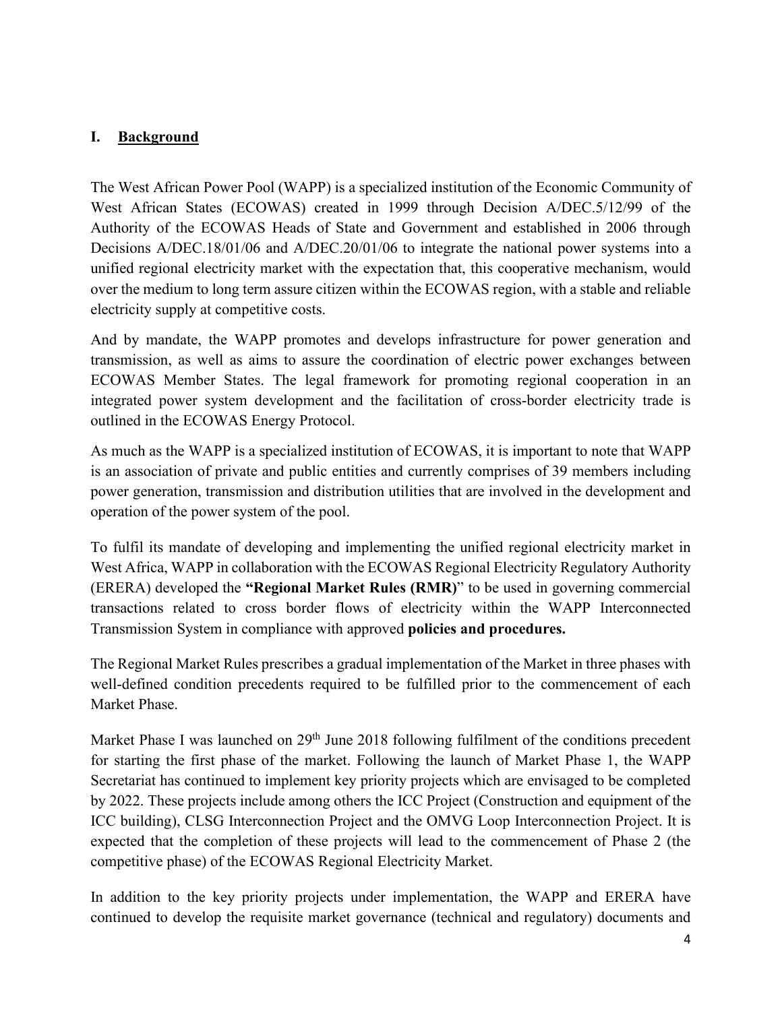#### **I. Background**

The West African Power Pool (WAPP) is a specialized institution of the Economic Community of West African States (ECOWAS) created in 1999 through Decision A/DEC.5/12/99 of the Authority of the ECOWAS Heads of State and Government and established in 2006 through Decisions A/DEC.18/01/06 and A/DEC.20/01/06 to integrate the national power systems into a unified regional electricity market with the expectation that, this cooperative mechanism, would over the medium to long term assure citizen within the ECOWAS region, with a stable and reliable electricity supply at competitive costs.

And by mandate, the WAPP promotes and develops infrastructure for power generation and transmission, as well as aims to assure the coordination of electric power exchanges between ECOWAS Member States. The legal framework for promoting regional cooperation in an integrated power system development and the facilitation of cross-border electricity trade is outlined in the ECOWAS Energy Protocol.

As much as the WAPP is a specialized institution of ECOWAS, it is important to note that WAPP is an association of private and public entities and currently comprises of 39 members including power generation, transmission and distribution utilities that are involved in the development and operation of the power system of the pool.

To fulfil its mandate of developing and implementing the unified regional electricity market in West Africa, WAPP in collaboration with the ECOWAS Regional Electricity Regulatory Authority (ERERA) developed the **"Regional Market Rules (RMR)**" to be used in governing commercial transactions related to cross border flows of electricity within the WAPP Interconnected Transmission System in compliance with approved **policies and procedures.** 

The Regional Market Rules prescribes a gradual implementation of the Market in three phases with well-defined condition precedents required to be fulfilled prior to the commencement of each Market Phase.

Market Phase I was launched on 29<sup>th</sup> June 2018 following fulfilment of the conditions precedent for starting the first phase of the market. Following the launch of Market Phase 1, the WAPP Secretariat has continued to implement key priority projects which are envisaged to be completed by 2022. These projects include among others the ICC Project (Construction and equipment of the ICC building), CLSG Interconnection Project and the OMVG Loop Interconnection Project. It is expected that the completion of these projects will lead to the commencement of Phase 2 (the competitive phase) of the ECOWAS Regional Electricity Market.

In addition to the key priority projects under implementation, the WAPP and ERERA have continued to develop the requisite market governance (technical and regulatory) documents and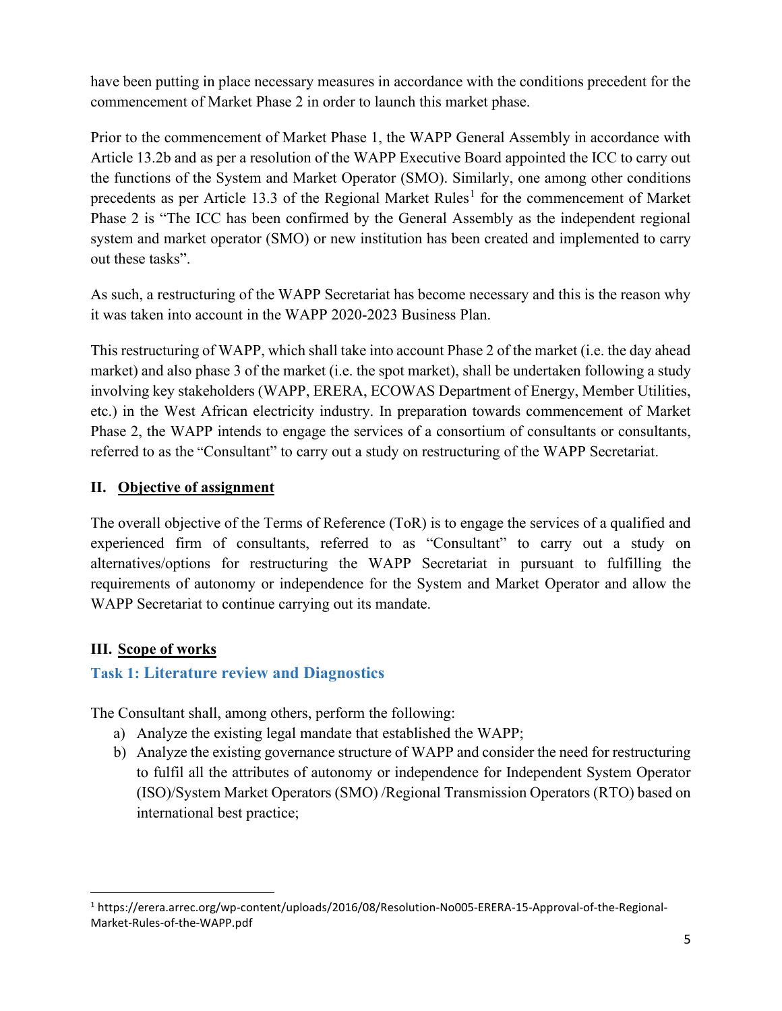have been putting in place necessary measures in accordance with the conditions precedent for the commencement of Market Phase 2 in order to launch this market phase.

Prior to the commencement of Market Phase 1, the WAPP General Assembly in accordance with Article 13.2b and as per a resolution of the WAPP Executive Board appointed the ICC to carry out the functions of the System and Market Operator (SMO). Similarly, one among other conditions precedents as per Article [1](#page-4-0)3.3 of the Regional Market Rules<sup>1</sup> for the commencement of Market Phase 2 is "The ICC has been confirmed by the General Assembly as the independent regional system and market operator (SMO) or new institution has been created and implemented to carry out these tasks".

As such, a restructuring of the WAPP Secretariat has become necessary and this is the reason why it was taken into account in the WAPP 2020-2023 Business Plan.

This restructuring of WAPP, which shall take into account Phase 2 of the market (i.e. the day ahead market) and also phase 3 of the market (i.e. the spot market), shall be undertaken following a study involving key stakeholders (WAPP, ERERA, ECOWAS Department of Energy, Member Utilities, etc.) in the West African electricity industry. In preparation towards commencement of Market Phase 2, the WAPP intends to engage the services of a consortium of consultants or consultants, referred to as the "Consultant" to carry out a study on restructuring of the WAPP Secretariat.

# **II. Objective of assignment**

The overall objective of the Terms of Reference (ToR) is to engage the services of a qualified and experienced firm of consultants, referred to as "Consultant" to carry out a study on alternatives/options for restructuring the WAPP Secretariat in pursuant to fulfilling the requirements of autonomy or independence for the System and Market Operator and allow the WAPP Secretariat to continue carrying out its mandate.

# **III. Scope of works**

# **Task 1: Literature review and Diagnostics**

The Consultant shall, among others, perform the following:

- a) Analyze the existing legal mandate that established the WAPP;
- b) Analyze the existing governance structure of WAPP and consider the need for restructuring to fulfil all the attributes of autonomy or independence for Independent System Operator (ISO)/System Market Operators (SMO) /Regional Transmission Operators (RTO) based on international best practice;

<span id="page-4-0"></span><sup>1</sup> https://erera.arrec.org/wp-content/uploads/2016/08/Resolution-No005-ERERA-15-Approval-of-the-Regional-Market-Rules-of-the-WAPP.pdf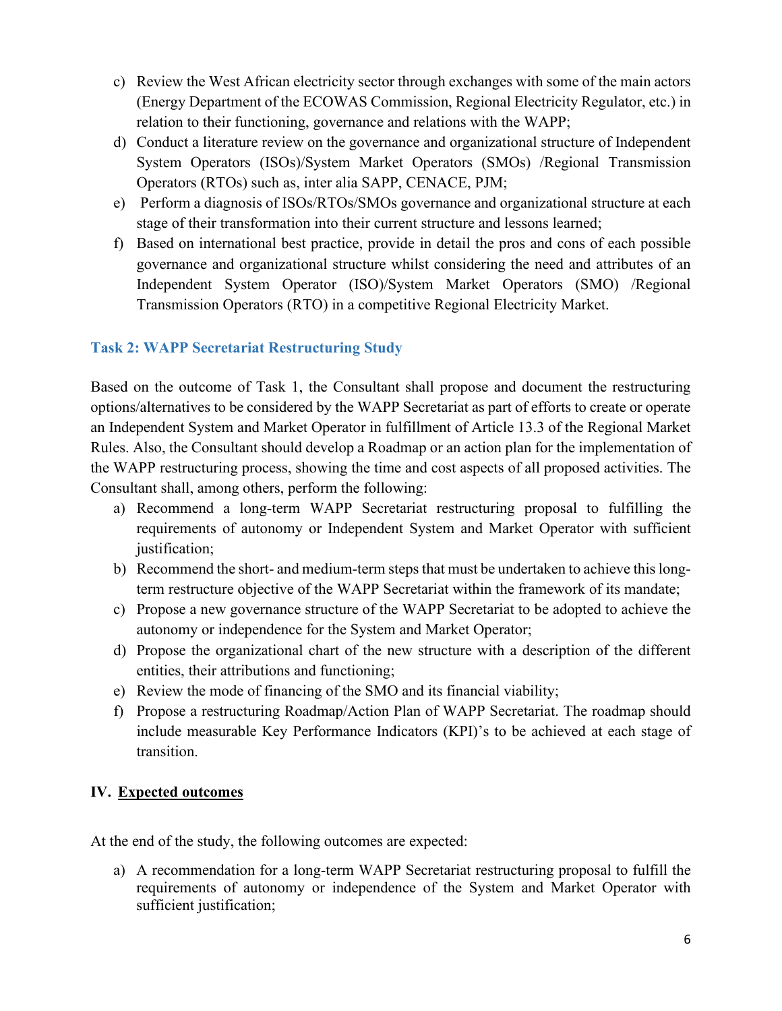- c) Review the West African electricity sector through exchanges with some of the main actors (Energy Department of the ECOWAS Commission, Regional Electricity Regulator, etc.) in relation to their functioning, governance and relations with the WAPP;
- d) Conduct a literature review on the governance and organizational structure of Independent System Operators (ISOs)/System Market Operators (SMOs) /Regional Transmission Operators (RTOs) such as, inter alia SAPP, CENACE, PJM;
- e) Perform a diagnosis of ISOs/RTOs/SMOs governance and organizational structure at each stage of their transformation into their current structure and lessons learned;
- f) Based on international best practice, provide in detail the pros and cons of each possible governance and organizational structure whilst considering the need and attributes of an Independent System Operator (ISO)/System Market Operators (SMO) /Regional Transmission Operators (RTO) in a competitive Regional Electricity Market.

# **Task 2: WAPP Secretariat Restructuring Study**

Based on the outcome of Task 1, the Consultant shall propose and document the restructuring options/alternatives to be considered by the WAPP Secretariat as part of efforts to create or operate an Independent System and Market Operator in fulfillment of Article 13.3 of the Regional Market Rules. Also, the Consultant should develop a Roadmap or an action plan for the implementation of the WAPP restructuring process, showing the time and cost aspects of all proposed activities. The Consultant shall, among others, perform the following:

- a) Recommend a long-term WAPP Secretariat restructuring proposal to fulfilling the requirements of autonomy or Independent System and Market Operator with sufficient justification;
- b) Recommend the short- and medium-term steps that must be undertaken to achieve this longterm restructure objective of the WAPP Secretariat within the framework of its mandate;
- c) Propose a new governance structure of the WAPP Secretariat to be adopted to achieve the autonomy or independence for the System and Market Operator;
- d) Propose the organizational chart of the new structure with a description of the different entities, their attributions and functioning;
- e) Review the mode of financing of the SMO and its financial viability;
- f) Propose a restructuring Roadmap/Action Plan of WAPP Secretariat. The roadmap should include measurable Key Performance Indicators (KPI)'s to be achieved at each stage of transition.

# **IV. Expected outcomes**

At the end of the study, the following outcomes are expected:

a) A recommendation for a long-term WAPP Secretariat restructuring proposal to fulfill the requirements of autonomy or independence of the System and Market Operator with sufficient justification;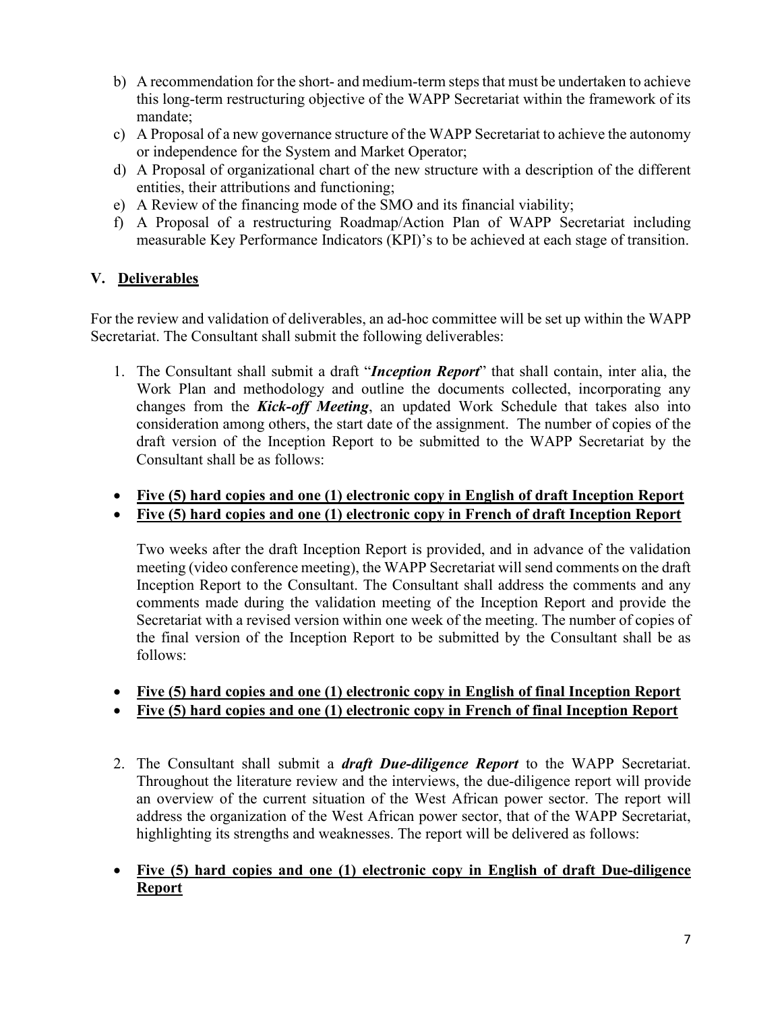- b) A recommendation for the short- and medium-term steps that must be undertaken to achieve this long-term restructuring objective of the WAPP Secretariat within the framework of its mandate;
- c) A Proposal of a new governance structure of the WAPP Secretariat to achieve the autonomy or independence for the System and Market Operator;
- d) A Proposal of organizational chart of the new structure with a description of the different entities, their attributions and functioning;
- e) A Review of the financing mode of the SMO and its financial viability;
- f) A Proposal of a restructuring Roadmap/Action Plan of WAPP Secretariat including measurable Key Performance Indicators (KPI)'s to be achieved at each stage of transition.

# **V. Deliverables**

For the review and validation of deliverables, an ad-hoc committee will be set up within the WAPP Secretariat. The Consultant shall submit the following deliverables:

- 1. The Consultant shall submit a draft "*Inception Report*" that shall contain, inter alia, the Work Plan and methodology and outline the documents collected, incorporating any changes from the *Kick-off Meeting*, an updated Work Schedule that takes also into consideration among others, the start date of the assignment. The number of copies of the draft version of the Inception Report to be submitted to the WAPP Secretariat by the Consultant shall be as follows:
- **Five (5) hard copies and one (1) electronic copy in English of draft Inception Report**
- **Five (5) hard copies and one (1) electronic copy in French of draft Inception Report**

Two weeks after the draft Inception Report is provided, and in advance of the validation meeting (video conference meeting), the WAPP Secretariat will send comments on the draft Inception Report to the Consultant. The Consultant shall address the comments and any comments made during the validation meeting of the Inception Report and provide the Secretariat with a revised version within one week of the meeting. The number of copies of the final version of the Inception Report to be submitted by the Consultant shall be as follows:

- **Five (5) hard copies and one (1) electronic copy in English of final Inception Report**
- **Five (5) hard copies and one (1) electronic copy in French of final Inception Report**
- 2. The Consultant shall submit a *draft Due-diligence Report* to the WAPP Secretariat. Throughout the literature review and the interviews, the due-diligence report will provide an overview of the current situation of the West African power sector. The report will address the organization of the West African power sector, that of the WAPP Secretariat, highlighting its strengths and weaknesses. The report will be delivered as follows:
- **Five (5) hard copies and one (1) electronic copy in English of draft Due-diligence Report**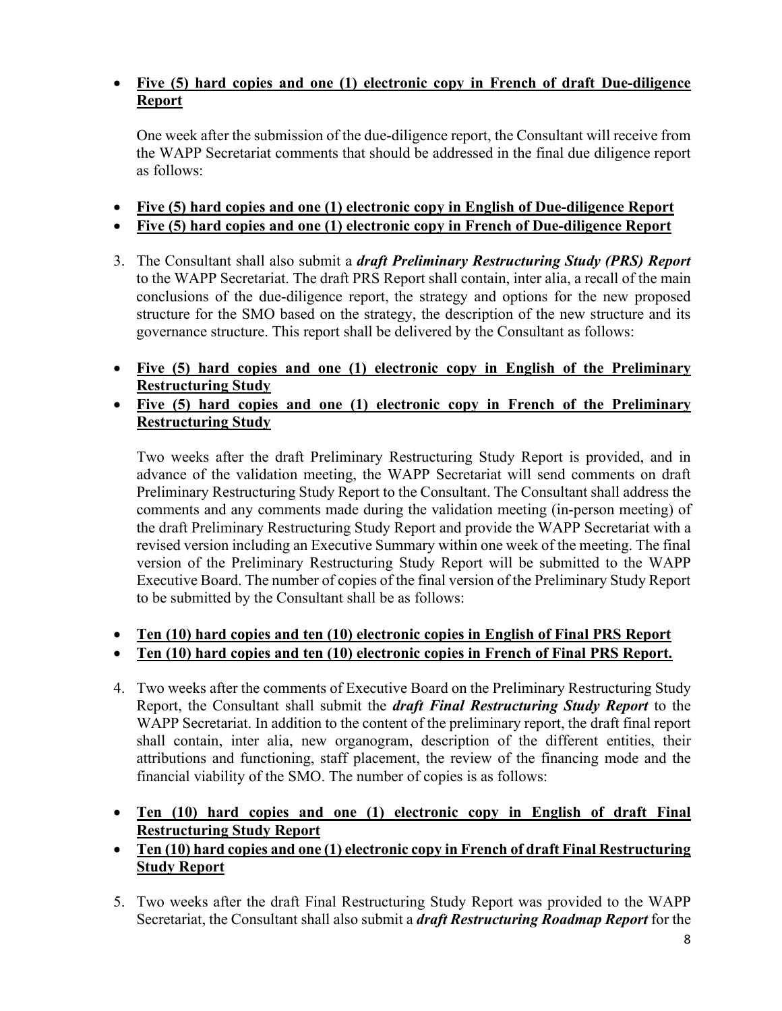## • **Five (5) hard copies and one (1) electronic copy in French of draft Due-diligence Report**

One week after the submission of the due-diligence report, the Consultant will receive from the WAPP Secretariat comments that should be addressed in the final due diligence report as follows:

- **Five (5) hard copies and one (1) electronic copy in English of Due-diligence Report**
- **Five (5) hard copies and one (1) electronic copy in French of Due-diligence Report**
- 3. The Consultant shall also submit a *draft Preliminary Restructuring Study (PRS) Report* to the WAPP Secretariat. The draft PRS Report shall contain, inter alia, a recall of the main conclusions of the due-diligence report, the strategy and options for the new proposed structure for the SMO based on the strategy, the description of the new structure and its governance structure. This report shall be delivered by the Consultant as follows:
- **Five (5) hard copies and one (1) electronic copy in English of the Preliminary Restructuring Study**
- **Five (5) hard copies and one (1) electronic copy in French of the Preliminary Restructuring Study**

Two weeks after the draft Preliminary Restructuring Study Report is provided, and in advance of the validation meeting, the WAPP Secretariat will send comments on draft Preliminary Restructuring Study Report to the Consultant. The Consultant shall address the comments and any comments made during the validation meeting (in-person meeting) of the draft Preliminary Restructuring Study Report and provide the WAPP Secretariat with a revised version including an Executive Summary within one week of the meeting. The final version of the Preliminary Restructuring Study Report will be submitted to the WAPP Executive Board. The number of copies of the final version of the Preliminary Study Report to be submitted by the Consultant shall be as follows:

- **Ten (10) hard copies and ten (10) electronic copies in English of Final PRS Report**
- **Ten (10) hard copies and ten (10) electronic copies in French of Final PRS Report.**
- 4. Two weeks after the comments of Executive Board on the Preliminary Restructuring Study Report, the Consultant shall submit the *draft Final Restructuring Study Report* to the WAPP Secretariat. In addition to the content of the preliminary report, the draft final report shall contain, inter alia, new organogram, description of the different entities, their attributions and functioning, staff placement, the review of the financing mode and the financial viability of the SMO. The number of copies is as follows:
- **Ten (10) hard copies and one (1) electronic copy in English of draft Final Restructuring Study Report**
- **Ten (10) hard copies and one (1) electronic copy in French of draft Final Restructuring Study Report**
- 5. Two weeks after the draft Final Restructuring Study Report was provided to the WAPP Secretariat, the Consultant shall also submit a *draft Restructuring Roadmap Report* for the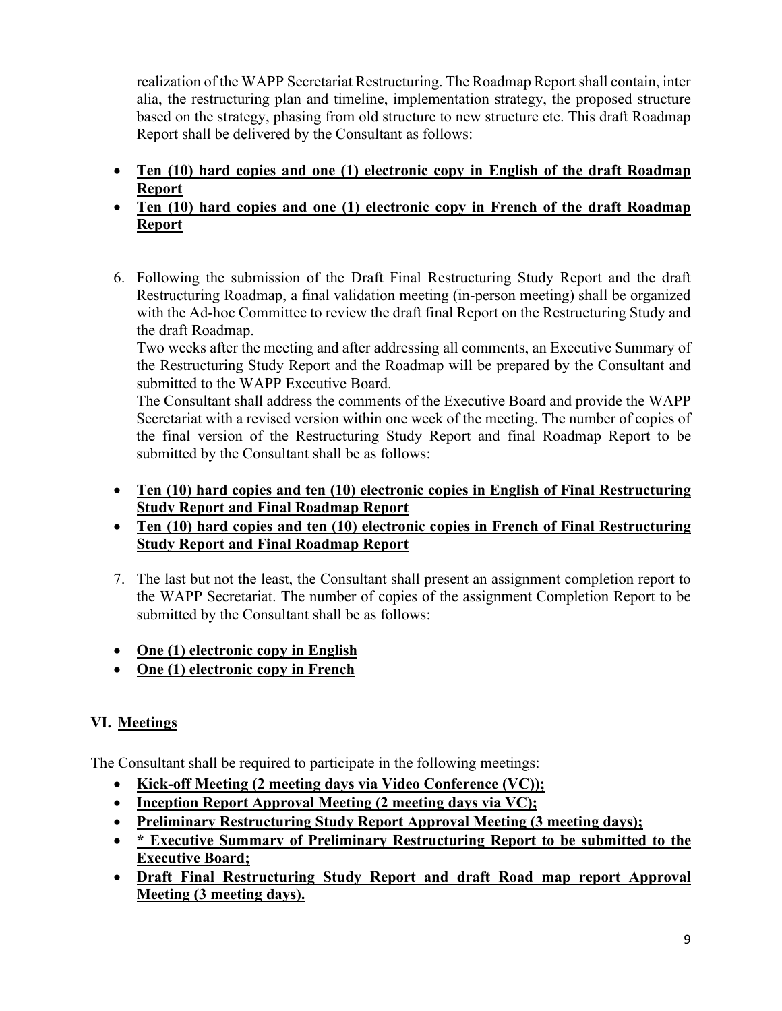realization of the WAPP Secretariat Restructuring. The Roadmap Report shall contain, inter alia, the restructuring plan and timeline, implementation strategy, the proposed structure based on the strategy, phasing from old structure to new structure etc. This draft Roadmap Report shall be delivered by the Consultant as follows:

- **Ten (10) hard copies and one (1) electronic copy in English of the draft Roadmap Report**
- **Ten (10) hard copies and one (1) electronic copy in French of the draft Roadmap Report**
- 6. Following the submission of the Draft Final Restructuring Study Report and the draft Restructuring Roadmap, a final validation meeting (in-person meeting) shall be organized with the Ad-hoc Committee to review the draft final Report on the Restructuring Study and the draft Roadmap.

Two weeks after the meeting and after addressing all comments, an Executive Summary of the Restructuring Study Report and the Roadmap will be prepared by the Consultant and submitted to the WAPP Executive Board.

The Consultant shall address the comments of the Executive Board and provide the WAPP Secretariat with a revised version within one week of the meeting. The number of copies of the final version of the Restructuring Study Report and final Roadmap Report to be submitted by the Consultant shall be as follows:

- **Ten (10) hard copies and ten (10) electronic copies in English of Final Restructuring Study Report and Final Roadmap Report**
- **Ten (10) hard copies and ten (10) electronic copies in French of Final Restructuring Study Report and Final Roadmap Report**
- 7. The last but not the least, the Consultant shall present an assignment completion report to the WAPP Secretariat. The number of copies of the assignment Completion Report to be submitted by the Consultant shall be as follows:
- **One (1) electronic copy in English**
- **One (1) electronic copy in French**

# **VI. Meetings**

The Consultant shall be required to participate in the following meetings:

- **Kick-off Meeting (2 meeting days via Video Conference (VC));**
- **Inception Report Approval Meeting (2 meeting days via VC);**
- **Preliminary Restructuring Study Report Approval Meeting (3 meeting days);**
- **\* Executive Summary of Preliminary Restructuring Report to be submitted to the Executive Board;**
- **Draft Final Restructuring Study Report and draft Road map report Approval Meeting (3 meeting days).**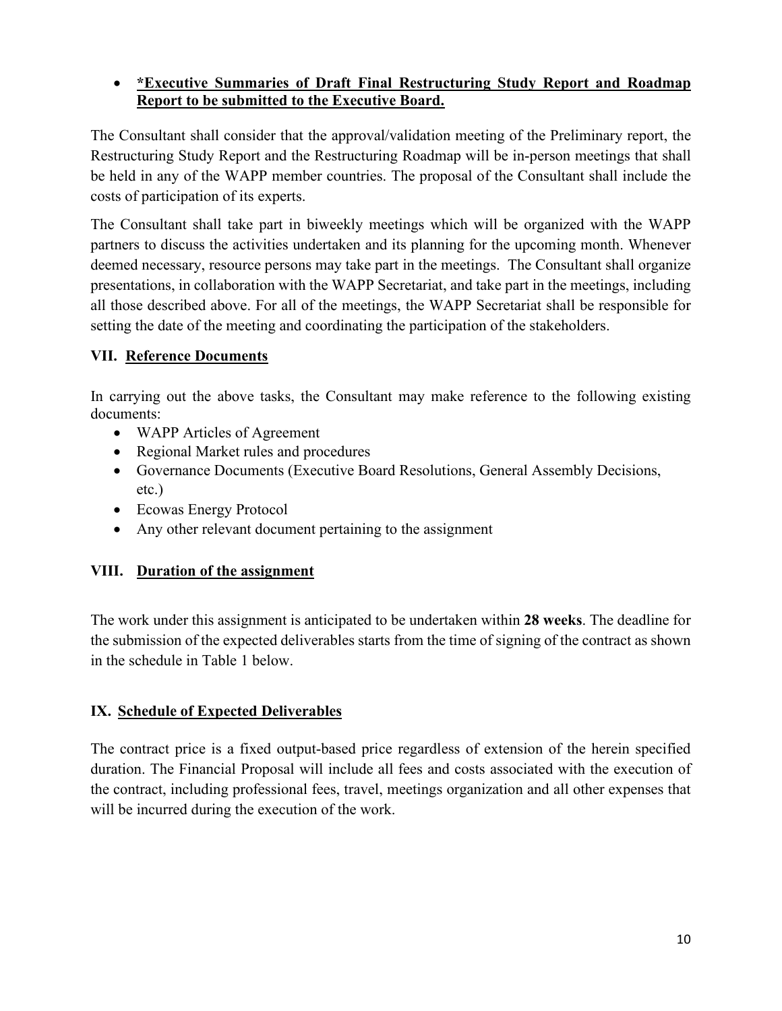### • **\*Executive Summaries of Draft Final Restructuring Study Report and Roadmap Report to be submitted to the Executive Board.**

The Consultant shall consider that the approval/validation meeting of the Preliminary report, the Restructuring Study Report and the Restructuring Roadmap will be in-person meetings that shall be held in any of the WAPP member countries. The proposal of the Consultant shall include the costs of participation of its experts.

The Consultant shall take part in biweekly meetings which will be organized with the WAPP partners to discuss the activities undertaken and its planning for the upcoming month. Whenever deemed necessary, resource persons may take part in the meetings. The Consultant shall organize presentations, in collaboration with the WAPP Secretariat, and take part in the meetings, including all those described above. For all of the meetings, the WAPP Secretariat shall be responsible for setting the date of the meeting and coordinating the participation of the stakeholders.

### **VII. Reference Documents**

In carrying out the above tasks, the Consultant may make reference to the following existing documents:

- WAPP Articles of Agreement
- Regional Market rules and procedures
- Governance Documents (Executive Board Resolutions, General Assembly Decisions, etc.)
- Ecowas Energy Protocol
- Any other relevant document pertaining to the assignment

# **VIII. Duration of the assignment**

The work under this assignment is anticipated to be undertaken within **28 weeks**. The deadline for the submission of the expected deliverables starts from the time of signing of the contract as shown in the schedule in Table 1 below.

# **IX. Schedule of Expected Deliverables**

The contract price is a fixed output-based price regardless of extension of the herein specified duration. The Financial Proposal will include all fees and costs associated with the execution of the contract, including professional fees, travel, meetings organization and all other expenses that will be incurred during the execution of the work.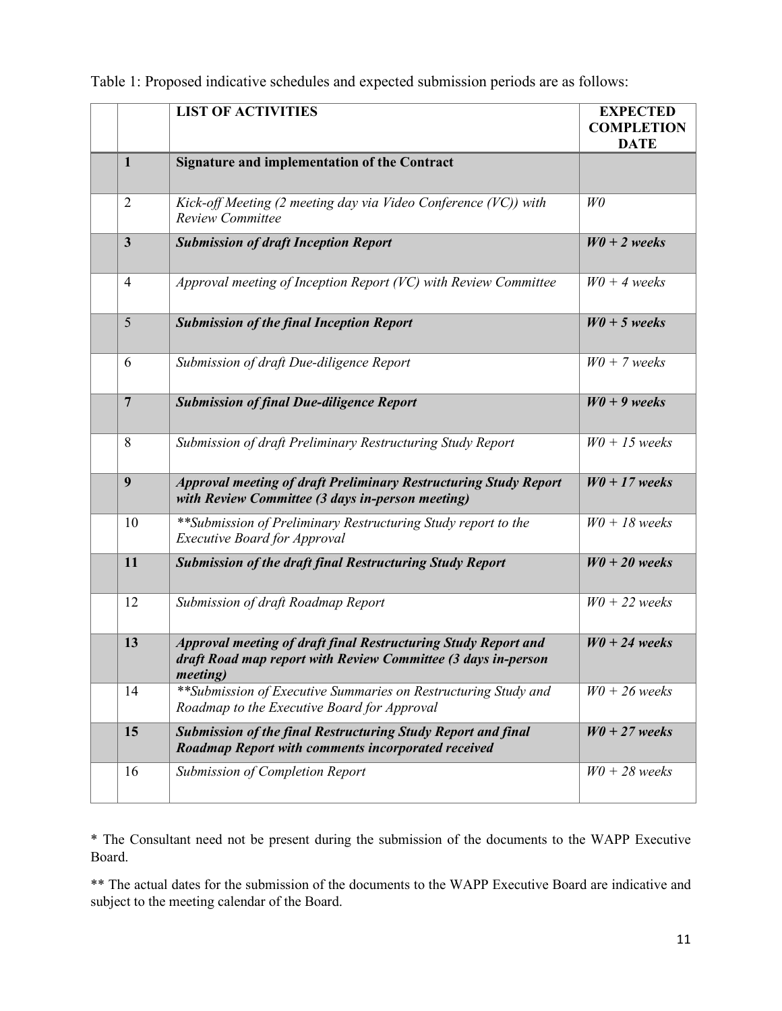|                 | <b>LIST OF ACTIVITIES</b>                                                                                                                           | <b>EXPECTED</b><br><b>COMPLETION</b><br><b>DATE</b> |
|-----------------|-----------------------------------------------------------------------------------------------------------------------------------------------------|-----------------------------------------------------|
| $\mathbf{1}$    | <b>Signature and implementation of the Contract</b>                                                                                                 |                                                     |
| $\overline{2}$  | Kick-off Meeting $(2 \text{ meeting day via Video Conference } (VC))$ with<br><b>Review Committee</b>                                               | W <sub>0</sub>                                      |
| $\mathbf{3}$    | <b>Submission of draft Inception Report</b>                                                                                                         | $W0 + 2$ weeks                                      |
| $\overline{4}$  | Approval meeting of Inception Report (VC) with Review Committee                                                                                     | $W0 + 4$ weeks                                      |
| 5               | <b>Submission of the final Inception Report</b>                                                                                                     | $W0 + 5$ weeks                                      |
| 6               | Submission of draft Due-diligence Report                                                                                                            | $W0 + 7$ weeks                                      |
| $7\phantom{.0}$ | <b>Submission of final Due-diligence Report</b>                                                                                                     | $W0 + 9$ weeks                                      |
| 8               | Submission of draft Preliminary Restructuring Study Report                                                                                          | $W0 + 15$ weeks                                     |
| 9               | <b>Approval meeting of draft Preliminary Restructuring Study Report</b><br>with Review Committee (3 days in-person meeting)                         | $W0 + 17$ weeks                                     |
| 10              | ** Submission of Preliminary Restructuring Study report to the<br><b>Executive Board for Approval</b>                                               | $W0 + 18$ weeks                                     |
| 11              | <b>Submission of the draft final Restructuring Study Report</b>                                                                                     | $W0 + 20$ weeks                                     |
| 12              | Submission of draft Roadmap Report                                                                                                                  | $W0 + 22$ weeks                                     |
| 13              | Approval meeting of draft final Restructuring Study Report and<br>draft Road map report with Review Committee (3 days in-person<br><i>meeting</i> ) | $W0 + 24$ weeks                                     |
| 14              | **Submission of Executive Summaries on Restructuring Study and<br>Roadmap to the Executive Board for Approval                                       | $W0 + 26$ weeks                                     |
| 15              | <b>Submission of the final Restructuring Study Report and final</b><br>Roadmap Report with comments incorporated received                           | $W0 + 27$ weeks                                     |
| 16              | Submission of Completion Report                                                                                                                     | $W0 + 28$ weeks                                     |

Table 1: Proposed indicative schedules and expected submission periods are as follows:

\* The Consultant need not be present during the submission of the documents to the WAPP Executive Board.

\*\* The actual dates for the submission of the documents to the WAPP Executive Board are indicative and subject to the meeting calendar of the Board.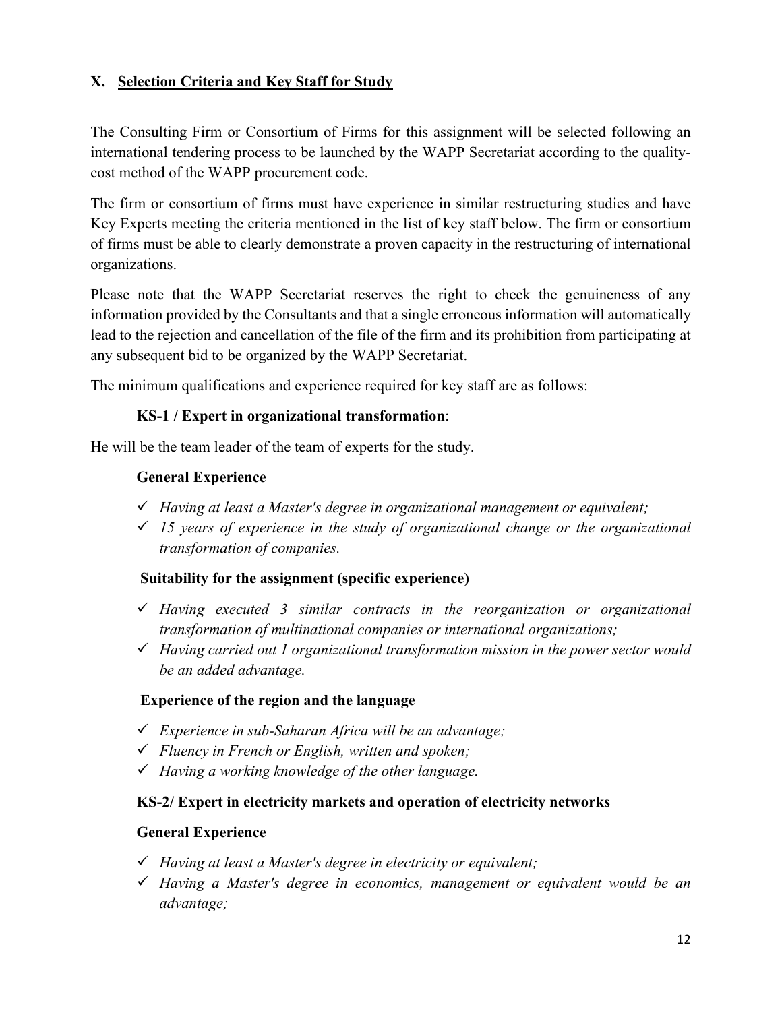## **X. Selection Criteria and Key Staff for Study**

The Consulting Firm or Consortium of Firms for this assignment will be selected following an international tendering process to be launched by the WAPP Secretariat according to the qualitycost method of the WAPP procurement code.

The firm or consortium of firms must have experience in similar restructuring studies and have Key Experts meeting the criteria mentioned in the list of key staff below. The firm or consortium of firms must be able to clearly demonstrate a proven capacity in the restructuring of international organizations.

Please note that the WAPP Secretariat reserves the right to check the genuineness of any information provided by the Consultants and that a single erroneous information will automatically lead to the rejection and cancellation of the file of the firm and its prohibition from participating at any subsequent bid to be organized by the WAPP Secretariat.

The minimum qualifications and experience required for key staff are as follows:

#### **KS-1 / Expert in organizational transformation**:

He will be the team leader of the team of experts for the study.

#### **General Experience**

- *Having at least a Master's degree in organizational management or equivalent;*
- *15 years of experience in the study of organizational change or the organizational transformation of companies.*

#### **Suitability for the assignment (specific experience)**

- *Having executed 3 similar contracts in the reorganization or organizational transformation of multinational companies or international organizations;*
- *Having carried out 1 organizational transformation mission in the power sector would be an added advantage.*

#### **Experience of the region and the language**

- *Experience in sub-Saharan Africa will be an advantage;*
- *Fluency in French or English, written and spoken;*
- *Having a working knowledge of the other language.*

#### **KS-2/ Expert in electricity markets and operation of electricity networks**

#### **General Experience**

- *Having at least a Master's degree in electricity or equivalent;*
- *Having a Master's degree in economics, management or equivalent would be an advantage;*